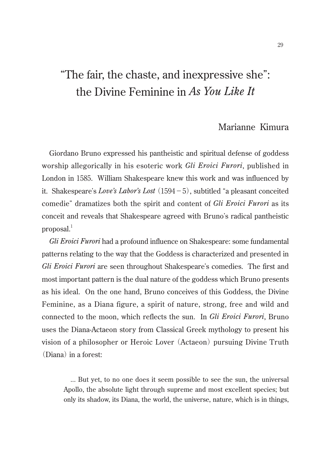# "The fair, the chaste, and inexpressive she": the Divine Feminine in *As You Like It*

# Marianne Kimura

Giordano Bruno expressed his pantheistic and spiritual defense of goddess worship allegorically in his esoteric work *Gli Eroici Furori*, published in London in 1585. William Shakespeare knew this work and was influenced by it. Shakespeare's *Love's Labor's Lost*(1594-5), subtitled "a pleasant conceited comedie" dramatizes both the spirit and content of *Gli Eroici Furori* as its conceit and reveals that Shakespeare agreed with Bruno's radical pantheistic proposal. $<sup>1</sup>$ </sup>

*Gli Eroici Furori* had a profound influence on Shakespeare: some fundamental patterns relating to the way that the Goddess is characterized and presented in *Gli Eroici Furori* are seen throughout Shakespeare's comedies. The first and most important pattern is the dual nature of the goddess which Bruno presents as his ideal. On the one hand, Bruno conceives of this Goddess, the Divine Feminine, as a Diana figure, a spirit of nature, strong, free and wild and connected to the moon, which reflects the sun. In *Gli Eroici Furori*, Bruno uses the Diana-Actaeon story from Classical Greek mythology to present his vision of a philosopher or Heroic Lover (Actaeon) pursuing Divine Truth (Diana) in a forest:

... But yet, to no one does it seem possible to see the sun, the universal Apollo, the absolute light through supreme and most excellent species; but only its shadow, its Diana, the world, the universe, nature, which is in things,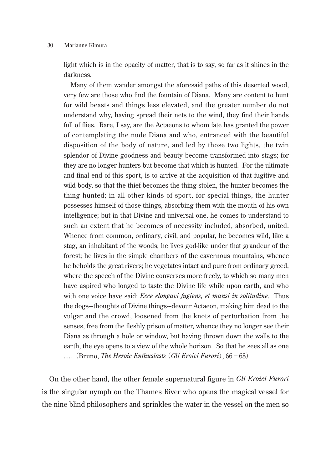light which is in the opacity of matter, that is to say, so far as it shines in the darkness.

Many of them wander amongst the aforesaid paths of this deserted wood, very few are those who find the fountain of Diana. Many are content to hunt for wild beasts and things less elevated, and the greater number do not understand why, having spread their nets to the wind, they find their hands full of flies. Rare, I say, are the Actaeons to whom fate has granted the power of contemplating the nude Diana and who, entranced with the beautiful disposition of the body of nature, and led by those two lights, the twin splendor of Divine goodness and beauty become transformed into stags; for they are no longer hunters but become that which is hunted. For the ultimate and final end of this sport, is to arrive at the acquisition of that fugitive and wild body, so that the thief becomes the thing stolen, the hunter becomes the thing hunted; in all other kinds of sport, for special things, the hunter possesses himself of those things, absorbing them with the mouth of his own intelligence; but in that Divine and universal one, he comes to understand to such an extent that he becomes of necessity included, absorbed, united. Whence from common, ordinary, civil, and popular, he becomes wild, like a stag, an inhabitant of the woods; he lives god-like under that grandeur of the forest; he lives in the simple chambers of the cavernous mountains, whence he beholds the great rivers; he vegetates intact and pure from ordinary greed, where the speech of the Divine converses more freely, to which so many men have aspired who longed to taste the Divine life while upon earth, and who with one voice have said: *Ecce elongavi fugiens, et mansi in solitudine*. Thus the dogs---thoughts of Divine things---devour Actaeon, making him dead to the vulgar and the crowd, loosened from the knots of perturbation from the senses, free from the fleshly prison of matter, whence they no longer see their Diana as through a hole or window, but having thrown down the walls to the earth, the eye opens to a view of the whole horizon. So that he sees all as one ..... (Bruno, *The Heroic Enthusiasts*(*Gli Eroici Furori*), 66-68)

On the other hand, the other female supernatural figure in *Gli Eroici Furori* is the singular nymph on the Thames River who opens the magical vessel for the nine blind philosophers and sprinkles the water in the vessel on the men so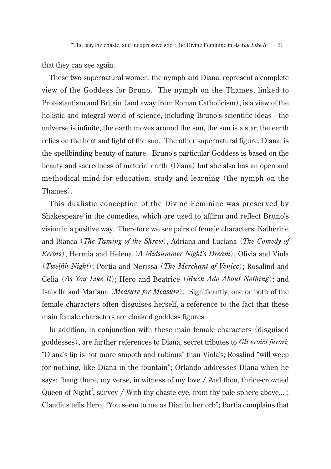that they can see again.

These two supernatural women, the nymph and Diana, represent a complete view of the Goddess for Bruno. The nymph on the Thames, linked to Protestantism and Britain (and away from Roman Catholicism), is a view of the holistic and integral world of science, including Bruno's scientific ideas—the universe is infinite, the earth moves around the sun, the sun is a star, the earth relies on the heat and light of the sun. The other supernatural figure, Diana, is the spellbinding beauty of nature. Bruno's particular Goddess is based on the beauty and sacredness of material earth (Diana) but she also has an open and methodical mind for education, study and learning (the nymph on the Thames).

This dualistic conception of the Divine Feminine was preser ved by Shakespeare in the comedies, which are used to affirm and reflect Bruno's vision in a positive way. Therefore we see pairs of female characters: Katherine and Bianca (*The Taming of the Shrew*), Adriana and Luciana (*The Comedy of Errors*), Hermia and Helena (*A Midsummer Night's Dream*), Olivia and Viola (*Twelfth Night*); Portia and Nerissa (*The Merchant of Venice*); Rosalind and Celia (*As You Like It*); Hero and Beatrice (*Much Ado About Nothing*); and Isabella and Mariana (*Measure for Measure*). Significantly, one or both of the female characters often disguises herself, a reference to the fact that these main female characters are cloaked goddess figures.

In addition, in conjunction with these main female characters (disguised goddesses), are further references to Diana, secret tributes to *Gli eroici furori*: "Diana's lip is not more smooth and rubious" than Viola's; Rosalind "will weep for nothing, like Diana in the fountain"; Orlando addresses Diana when he says: "hang there, my verse, in witness of my love / And thou, thrice-crowned Queen of Night<sup>2</sup>, survey / With thy chaste eye, from thy pale sphere above..."; Claudius tells Hero, "You seem to me as Dian in her orb"; Portia complains that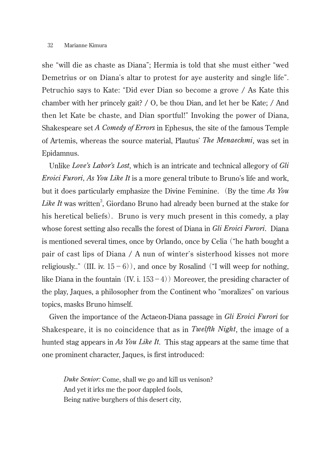she "will die as chaste as Diana"; Hermia is told that she must either "wed Demetrius or on Diana's altar to protest for aye austerity and single life". Petruchio says to Kate: "Did ever Dian so become a grove / As Kate this chamber with her princely gait? / O, be thou Dian, and let her be Kate; / And then let Kate be chaste, and Dian sportful!" Invoking the power of Diana, Shakespeare set *A Comedy of Errors* in Ephesus, the site of the famous Temple of Artemis, whereas the source material, Plautus' *The Menaechmi*, was set in Epidamnus.

Unlike *Love's Labor's Lost*, which is an intricate and technical allegory of *Gli Eroici Furori, As You Like It* is a more general tribute to Bruno's life and work, but it does particularly emphasize the Divine Feminine. (By the time *As You*  Like It was written<sup>3</sup>, Giordano Bruno had already been burned at the stake for his heretical beliefs). Bruno is very much present in this comedy, a play whose forest setting also recalls the forest of Diana in *Gli Eroici Furori*. Diana is mentioned several times, once by Orlando, once by Celia ("he hath bought a pair of cast lips of Diana / A nun of winter's sisterhood kisses not more religiously.." (III. iv.  $15-6$ )), and once by Rosalind ("I will weep for nothing, like Diana in the fountain  $(IV, i. 153-4)$  Moreover, the presiding character of the play, Jaques, a philosopher from the Continent who "moralizes" on various topics, masks Bruno himself.

Given the importance of the Actaeon-Diana passage in *Gli Eroici Furori* for Shakespeare, it is no coincidence that as in *Twelfth Night*, the image of a hunted stag appears in *As You Like It*. This stag appears at the same time that one prominent character, Jaques, is first introduced:

*Duke Senior:* Come, shall we go and kill us venison? And yet it irks me the poor dappled fools, Being native burghers of this desert city,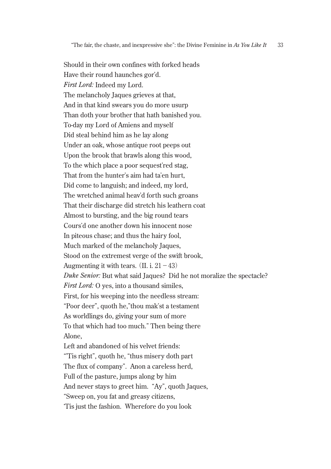Should in their own confines with forked heads Have their round haunches gor'd. *First Lord:* Indeed my Lord. The melancholy Jaques grieves at that, And in that kind swears you do more usurp Than doth your brother that hath banished you. To-day my Lord of Amiens and myself Did steal behind him as he lay along Under an oak, whose antique root peeps out Upon the brook that brawls along this wood, To the which place a poor sequest'red stag, That from the hunter's aim had ta'en hurt, Did come to languish; and indeed, my lord, The wretched animal heav'd forth such groans That their discharge did stretch his leathern coat Almost to bursting, and the big round tears Cours'd one another down his innocent nose In piteous chase; and thus the hairy fool, Much marked of the melancholy Jaques, Stood on the extremest verge of the swift brook, Augmenting it with tears.  $(II, i, 21-43)$ *Duke Senior:* But what said Jaques? Did he not moralize the spectacle? *First Lord:* O yes, into a thousand similes, First, for his weeping into the needless stream: "Poor deer", quoth he,"thou mak'st a testament As worldlings do, giving your sum of more To that which had too much." Then being there Alone, Left and abandoned of his velvet friends: "'Tis right", quoth he, "thus misery doth part The flux of company". Anon a careless herd, Full of the pasture, jumps along by him And never stays to greet him. "Ay", quoth Jaques, "Sweep on, you fat and greasy citizens, ʻTis just the fashion. Wherefore do you look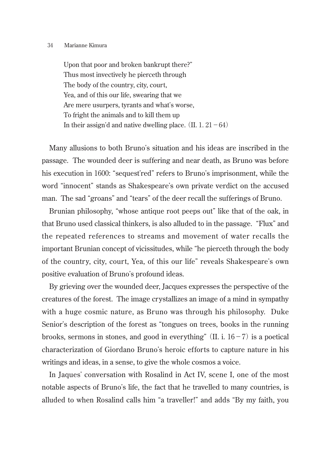Upon that poor and broken bankrupt there?" Thus most invectively he pierceth through The body of the country, city, court, Yea, and of this our life, swearing that we Are mere usurpers, tyrants and what's worse, To fright the animals and to kill them up In their assign'd and native dwelling place.  $(II, 1, 21-64)$ 

Many allusions to both Bruno's situation and his ideas are inscribed in the passage. The wounded deer is suffering and near death, as Bruno was before his execution in 1600: "sequest'red" refers to Bruno's imprisonment, while the word "innocent" stands as Shakespeare's own private verdict on the accused man. The sad "groans" and "tears" of the deer recall the sufferings of Bruno.

Brunian philosophy, "whose antique root peeps out" like that of the oak, in that Bruno used classical thinkers, is also alluded to in the passage. "Flux" and the repeated references to streams and movement of water recalls the important Brunian concept of vicissitudes, while "he pierceth through the body of the country, city, court, Yea, of this our life" reveals Shakespeare's own positive evaluation of Bruno's profound ideas.

By grieving over the wounded deer, Jacques expresses the perspective of the creatures of the forest. The image crystallizes an image of a mind in sympathy with a huge cosmic nature, as Bruno was through his philosophy. Duke Senior's description of the forest as "tongues on trees, books in the running brooks, sermons in stones, and good in everything" (II. i.  $16-7$ ) is a poetical characterization of Giordano Bruno's heroic efforts to capture nature in his writings and ideas, in a sense, to give the whole cosmos a voice.

In Jaques' conversation with Rosalind in Act IV, scene I, one of the most notable aspects of Bruno's life, the fact that he travelled to many countries, is alluded to when Rosalind calls him "a traveller!" and adds "By my faith, you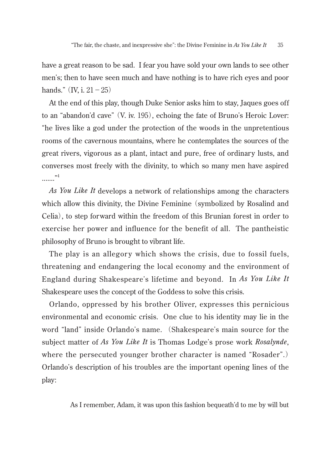have a great reason to be sad. I fear you have sold your own lands to see other men's; then to have seen much and have nothing is to have rich eyes and poor hands."  $(IV, i. 21 - 25)$ 

At the end of this play, though Duke Senior asks him to stay, Jaques goes off to an "abandon'd cave"(V. iv. 195), echoing the fate of Bruno's Heroic Lover: "he lives like a god under the protection of the woods in the unpretentious rooms of the cavernous mountains, where he contemplates the sources of the great rivers, vigorous as a plant, intact and pure, free of ordinary lusts, and converses most freely with the divinity, to which so many men have aspired ........<sup>"4</sup>

*As You Like It* develops a network of relationships among the characters which allow this divinity, the Divine Feminine (symbolized by Rosalind and Celia), to step forward within the freedom of this Brunian forest in order to exercise her power and influence for the benefit of all. The pantheistic philosophy of Bruno is brought to vibrant life.

The play is an allegory which shows the crisis, due to fossil fuels, threatening and endangering the local economy and the environment of England during Shakespeare's lifetime and beyond. In *As You Like It*  Shakespeare uses the concept of the Goddess to solve this crisis.

Orlando, oppressed by his brother Oliver, expresses this pernicious environmental and economic crisis. One clue to his identity may lie in the word "land" inside Orlando's name. (Shakespeare's main source for the subject matter of *As You Like It* is Thomas Lodge's prose work *Rosalynde*, where the persecuted younger brother character is named "Rosader".) Orlando's description of his troubles are the important opening lines of the play:

As I remember, Adam, it was upon this fashion bequeath'd to me by will but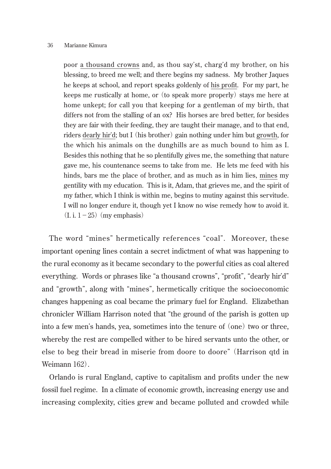poor a thousand crowns and, as thou say'st, charg'd my brother, on his blessing, to breed me well; and there begins my sadness. My brother Jaques he keeps at school, and report speaks goldenly of his profit. For my part, he keeps me rustically at home, or (to speak more properly) stays me here at home unkept; for call you that keeping for a gentleman of my birth, that differs not from the stalling of an ox? His horses are bred better, for besides they are fair with their feeding, they are taught their manage, and to that end, riders dearly hir'd; but I (his brother) gain nothing under him but growth, for the which his animals on the dunghills are as much bound to him as I. Besides this nothing that he so plentifully gives me, the something that nature gave me, his countenance seems to take from me. He lets me feed with his hinds, bars me the place of brother, and as much as in him lies, mines my gentility with my education. This is it, Adam, that grieves me, and the spirit of my father, which I think is within me, begins to mutiny against this servitude. I will no longer endure it, though yet I know no wise remedy how to avoid it.  $(I. i. 1-25)$  (my emphasis)

The word "mines" hermetically references "coal". Moreover, these important opening lines contain a secret indictment of what was happening to the rural economy as it became secondary to the powerful cities as coal altered everything. Words or phrases like "a thousand crowns", "profit", "dearly hir'd" and "growth", along with "mines", hermetically critique the socioeconomic changes happening as coal became the primary fuel for England. Elizabethan chronicler William Harrison noted that "the ground of the parish is gotten up into a few men's hands, yea, sometimes into the tenure of (one) two or three, whereby the rest are compelled wither to be hired servants unto the other, or else to beg their bread in miserie from doore to doore" (Harrison qtd in Weimann 162).

Orlando is rural England, captive to capitalism and profits under the new fossil fuel regime. In a climate of economic growth, increasing energy use and increasing complexity, cities grew and became polluted and crowded while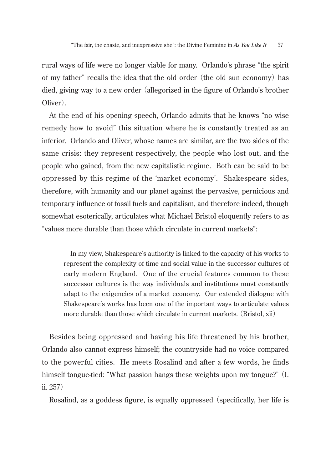rural ways of life were no longer viable for many. Orlando's phrase "the spirit of my father" recalls the idea that the old order (the old sun economy) has died, giving way to a new order (allegorized in the figure of Orlando's brother Oliver).

At the end of his opening speech, Orlando admits that he knows "no wise remedy how to avoid" this situation where he is constantly treated as an inferior. Orlando and Oliver, whose names are similar, are the two sides of the same crisis: they represent respectively, the people who lost out, and the people who gained, from the new capitalistic regime. Both can be said to be oppressed by this regime of the ʻmarket economy'. Shakespeare sides, therefore, with humanity and our planet against the pervasive, pernicious and temporary influence of fossil fuels and capitalism, and therefore indeed, though somewhat esoterically, articulates what Michael Bristol eloquently refers to as "values more durable than those which circulate in current markets":

In my view, Shakespeare's authority is linked to the capacity of his works to represent the complexity of time and social value in the successor cultures of early modern England. One of the crucial features common to these successor cultures is the way individuals and institutions must constantly adapt to the exigencies of a market economy. Our extended dialogue with Shakespeare's works has been one of the important ways to articulate values more durable than those which circulate in current markets. (Bristol, xii)

Besides being oppressed and having his life threatened by his brother, Orlando also cannot express himself; the countryside had no voice compared to the powerful cities. He meets Rosalind and after a few words, he finds himself tongue-tied: "What passion hangs these weights upon my tongue?" (I. ii. 257)

Rosalind, as a goddess figure, is equally oppressed (specifically, her life is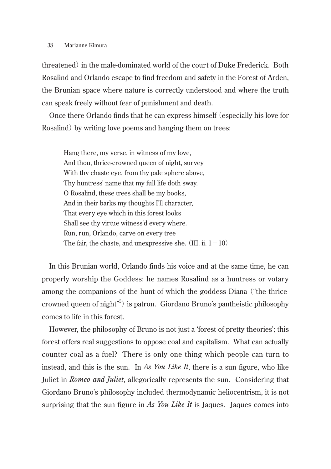threatened) in the male-dominated world of the court of Duke Frederick. Both Rosalind and Orlando escape to find freedom and safety in the Forest of Arden, the Brunian space where nature is correctly understood and where the truth can speak freely without fear of punishment and death.

Once there Orlando finds that he can express himself (especially his love for Rosalind) by writing love poems and hanging them on trees:

Hang there, my verse, in witness of my love, And thou, thrice-crowned queen of night, survey With thy chaste eye, from thy pale sphere above, Thy huntress' name that my full life doth sway. O Rosalind, these trees shall be my books, And in their barks my thoughts I'll character, That every eye which in this forest looks Shall see thy virtue witness'd every where. Run, run, Orlando, carve on every tree The fair, the chaste, and unexpressive she. (III. ii.  $1-10$ )

In this Brunian world, Orlando finds his voice and at the same time, he can properly worship the Goddess: he names Rosalind as a huntress or votary among the companions of the hunt of which the goddess Diana ("the thricecrowned queen of night" 5 ) is patron. Giordano Bruno's pantheistic philosophy comes to life in this forest.

However, the philosophy of Bruno is not just a ʻforest of pretty theories'; this forest offers real suggestions to oppose coal and capitalism. What can actually counter coal as a fuel? There is only one thing which people can turn to instead, and this is the sun. In *As You Like It*, there is a sun figure, who like Juliet in *Romeo and Juliet*, allegorically represents the sun. Considering that Giordano Bruno's philosophy included thermodynamic heliocentrism, it is not surprising that the sun figure in *As You Like It* is Jaques. Jaques comes into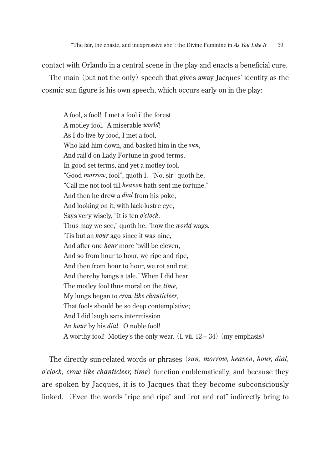contact with Orlando in a central scene in the play and enacts a beneficial cure.

The main (but not the only) speech that gives away Jacques' identity as the cosmic sun figure is his own speech, which occurs early on in the play:

A fool, a fool! I met a fool i' the forest A motley fool. A miserable *world*! As I do live by food, I met a fool, Who laid him down, and basked him in the *sun*, And rail'd on Lady Fortune in good terms, In good set terms, and yet a motley fool. "Good *morrow*, fool", quoth I. "No, sir" quoth he, "Call me not fool till *heaven* hath sent me fortune." And then he drew a *dial* from his poke, And looking on it, with lack-lustre eye, Says very wisely, "It is ten *o'clock*. Thus may we see," quoth he, "how the *world* wags. ʻTis but an *hour* ago since it was nine, And after one *hour* more ʻtwill be eleven, And so from hour to hour, we ripe and ripe, And then from hour to hour, we rot and rot; And thereby hangs a tale." When I did hear The motley fool thus moral on the *time*, My lungs began to *crow like chanticleer*, That fools should be so deep contemplative; And I did laugh sans intermission An *hour* by his *dial*. O noble fool! A worthy fool! Motley's the only wear.  $(I, vii, 12-34)$  (my emphasis)

The directly sun-related words or phrases (*sun, morrow, heaven, hour, dial, o'clock, crow like chanticleer, time*) function emblematically, and because they are spoken by Jacques, it is to Jacques that they become subconsciously linked. (Even the words "ripe and ripe" and "rot and rot" indirectly bring to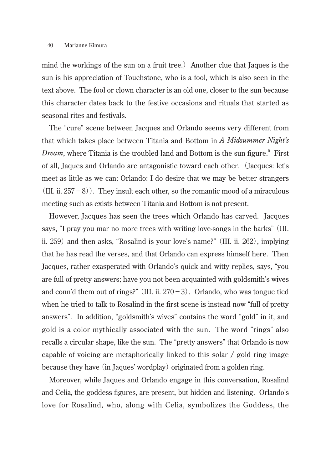mind the workings of the sun on a fruit tree.) Another clue that Jaques is the sun is his appreciation of Touchstone, who is a fool, which is also seen in the text above. The fool or clown character is an old one, closer to the sun because this character dates back to the festive occasions and rituals that started as seasonal rites and festivals.

The "cure" scene between Jacques and Orlando seems very different from that which takes place between Titania and Bottom in *A Midsummer Night's Dream*, where Titania is the troubled land and Bottom is the sun figure.<sup>6</sup> First of all, Jaques and Orlando are antagonistic toward each other. (Jacques: let's meet as little as we can; Orlando: I do desire that we may be better strangers (III. ii.  $257-8$ ). They insult each other, so the romantic mood of a miraculous meeting such as exists between Titania and Bottom is not present.

However, Jacques has seen the trees which Orlando has carved. Jacques says, "I pray you mar no more trees with writing love-songs in the barks"(III. ii. 259) and then asks, "Rosalind is your love's name?"(III. ii. 262), implying that he has read the verses, and that Orlando can express himself here. Then Jacques, rather exasperated with Orlando's quick and witty replies, says, "you are full of pretty answers; have you not been acquainted with goldsmith's wives and conn'd them out of rings?" (III. ii.  $270-3$ ). Orlando, who was tongue tied when he tried to talk to Rosalind in the first scene is instead now "full of pretty answers". In addition, "goldsmith's wives" contains the word "gold" in it, and gold is a color mythically associated with the sun. The word "rings" also recalls a circular shape, like the sun. The "pretty answers" that Orlando is now capable of voicing are metaphorically linked to this solar / gold ring image because they have (in Jaques' wordplay) originated from a golden ring.

Moreover, while Jaques and Orlando engage in this conversation, Rosalind and Celia, the goddess figures, are present, but hidden and listening. Orlando's love for Rosalind, who, along with Celia, symbolizes the Goddess, the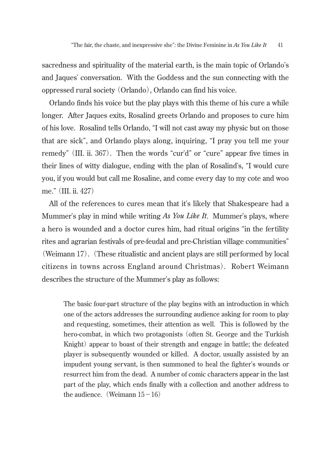sacredness and spirituality of the material earth, is the main topic of Orlando's and Jaques' conversation. With the Goddess and the sun connecting with the oppressed rural society (Orlando), Orlando can find his voice.

Orlando finds his voice but the play plays with this theme of his cure a while longer. After Jaques exits, Rosalind greets Orlando and proposes to cure him of his love. Rosalind tells Orlando, "I will not cast away my physic but on those that are sick", and Orlando plays along, inquiring, "I pray you tell me your remedy"(III. ii. 367). Then the words "cur'd" or "cure" appear five times in their lines of witty dialogue, ending with the plan of Rosalind's, "I would cure you, if you would but call me Rosaline, and come every day to my cote and woo me."(III. ii. 427)

All of the references to cures mean that it's likely that Shakespeare had a Mummer's play in mind while writing *As You Like It*. Mummer's plays, where a hero is wounded and a doctor cures him, had ritual origins "in the fertility rites and agrarian festivals of pre-feudal and pre-Christian village communities" (Weimann 17). (These ritualistic and ancient plays are still performed by local citizens in towns across England around Christmas). Robert Weimann describes the structure of the Mummer's play as follows:

The basic four-part structure of the play begins with an introduction in which one of the actors addresses the surrounding audience asking for room to play and requesting, sometimes, their attention as well. This is followed by the hero-combat, in which two protagonists (often St. George and the Turkish Knight) appear to boast of their strength and engage in battle; the defeated player is subsequently wounded or killed. A doctor, usually assisted by an impudent young servant, is then summoned to heal the fighter's wounds or resurrect him from the dead. A number of comic characters appear in the last part of the play, which ends finally with a collection and another address to the audience. (Weimann  $15-16$ )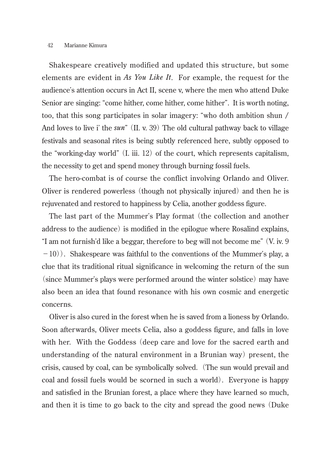Shakespeare creatively modified and updated this structure, but some elements are evident in *As You Like It*. For example, the request for the audience's attention occurs in Act II, scene v, where the men who attend Duke Senior are singing: "come hither, come hither, come hither". It is worth noting, too, that this song participates in solar imagery: "who doth ambition shun / And loves to live i' the *sun*" (II. v. 39) The old cultural pathway back to village festivals and seasonal rites is being subtly referenced here, subtly opposed to the "working-day world"  $(I, iii, 12)$  of the court, which represents capitalism, the necessity to get and spend money through burning fossil fuels.

The hero-combat is of course the conflict involving Orlando and Oliver. Oliver is rendered powerless (though not physically injured) and then he is rejuvenated and restored to happiness by Celia, another goddess figure.

The last part of the Mummer's Play format (the collection and another address to the audience) is modified in the epilogue where Rosalind explains, "I am not furnish'd like a beggar, therefore to beg will not become me"(V. iv. 9  $-10$ ). Shakespeare was faithful to the conventions of the Mummer's play, a clue that its traditional ritual significance in welcoming the return of the sun (since Mummer's plays were performed around the winter solstice) may have also been an idea that found resonance with his own cosmic and energetic concerns.

Oliver is also cured in the forest when he is saved from a lioness by Orlando. Soon afterwards, Oliver meets Celia, also a goddess figure, and falls in love with her. With the Goddess (deep care and love for the sacred earth and understanding of the natural environment in a Brunian way) present, the crisis, caused by coal, can be symbolically solved. (The sun would prevail and coal and fossil fuels would be scorned in such a world). Everyone is happy and satisfied in the Brunian forest, a place where they have learned so much, and then it is time to go back to the city and spread the good news (Duke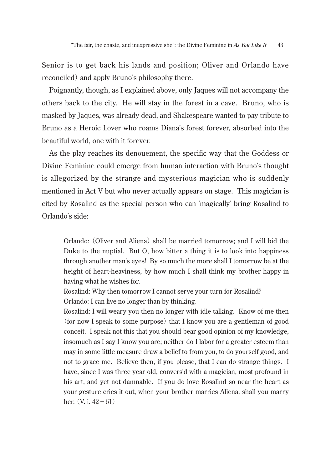Senior is to get back his lands and position; Oliver and Orlando have reconciled) and apply Bruno's philosophy there.

Poignantly, though, as I explained above, only Jaques will not accompany the others back to the city. He will stay in the forest in a cave. Bruno, who is masked by Jaques, was already dead, and Shakespeare wanted to pay tribute to Bruno as a Heroic Lover who roams Diana's forest forever, absorbed into the beautiful world, one with it forever.

As the play reaches its denouement, the specific way that the Goddess or Divine Feminine could emerge from human interaction with Bruno's thought is allegorized by the strange and mysterious magician who is suddenly mentioned in Act V but who never actually appears on stage. This magician is cited by Rosalind as the special person who can ʻmagically' bring Rosalind to Orlando's side:

Orlando: (Oliver and Aliena) shall be married tomorrow; and I will bid the Duke to the nuptial. But O, how bitter a thing it is to look into happiness through another man's eyes! By so much the more shall I tomorrow be at the height of heart-heaviness, by how much I shall think my brother happy in having what he wishes for.

Rosalind: Why then tomorrow I cannot serve your turn for Rosalind? Orlando: I can live no longer than by thinking.

Rosalind: I will weary you then no longer with idle talking. Know of me then (for now I speak to some purpose) that I know you are a gentleman of good conceit. I speak not this that you should bear good opinion of my knowledge, insomuch as I say I know you are; neither do I labor for a greater esteem than may in some little measure draw a belief to from you, to do yourself good, and not to grace me. Believe then, if you please, that I can do strange things. I have, since I was three year old, convers'd with a magician, most profound in his art, and yet not damnable. If you do love Rosalind so near the heart as your gesture cries it out, when your brother marries Aliena, shall you marry her.  $(V, i. 42 - 61)$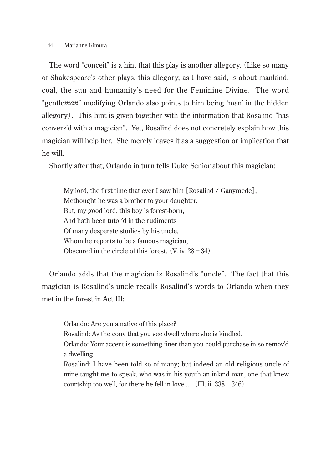The word "conceit" is a hint that this play is another allegory. (Like so many of Shakespeare's other plays, this allegory, as I have said, is about mankind, coal, the sun and humanity's need for the Feminine Divine. The word "gentle*man*" modifying Orlando also points to him being ʻman' in the hidden allegory). This hint is given together with the information that Rosalind "has convers'd with a magician". Yet, Rosalind does not concretely explain how this magician will help her. She merely leaves it as a suggestion or implication that he will.

Shortly after that, Orlando in turn tells Duke Senior about this magician:

My lord, the first time that ever I saw him [Rosalind / Ganymede], Methought he was a brother to your daughter. But, my good lord, this boy is forest-born, And hath been tutor'd in the rudiments Of many desperate studies by his uncle, Whom he reports to be a famous magician. Obscured in the circle of this forest.  $(V. iv. 28-34)$ 

Orlando adds that the magician is Rosalind's "uncle". The fact that this magician is Rosalind's uncle recalls Rosalind's words to Orlando when they met in the forest in Act III:

Orlando: Are you a native of this place?

Rosalind: As the cony that you see dwell where she is kindled.

Orlando: Your accent is something finer than you could purchase in so remov'd a dwelling.

Rosalind: I have been told so of many; but indeed an old religious uncle of mine taught me to speak, who was in his youth an inland man, one that knew courtship too well, for there he fell in love....  $(III. ii. 338 - 346)$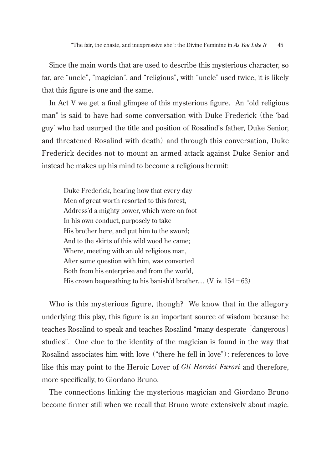Since the main words that are used to describe this mysterious character, so far, are "uncle", "magician", and "religious", with "uncle" used twice, it is likely that this figure is one and the same.

In Act V we get a final glimpse of this mysterious figure. An "old religious man" is said to have had some conversation with Duke Frederick (the ʻbad guy' who had usurped the title and position of Rosalind's father, Duke Senior, and threatened Rosalind with death) and through this conversation, Duke Frederick decides not to mount an armed attack against Duke Senior and instead he makes up his mind to become a religious hermit:

Duke Frederick, hearing how that every day Men of great worth resorted to this forest, Address'd a mighty power, which were on foot In his own conduct, purposely to take His brother here, and put him to the sword; And to the skirts of this wild wood he came; Where, meeting with an old religious man, After some question with him, was converted Both from his enterprise and from the world, His crown bequeathing to his banish'd brother.... (V. iv.  $154-63$ )

Who is this mysterious figure, though? We know that in the allegory underlying this play, this figure is an important source of wisdom because he teaches Rosalind to speak and teaches Rosalind "many desperate [dangerous] studies". One clue to the identity of the magician is found in the way that Rosalind associates him with love ("there he fell in love"): references to love like this may point to the Heroic Lover of *Gli Heroici Furori* and therefore, more specifically, to Giordano Bruno.

The connections linking the mysterious magician and Giordano Bruno become firmer still when we recall that Bruno wrote extensively about magic.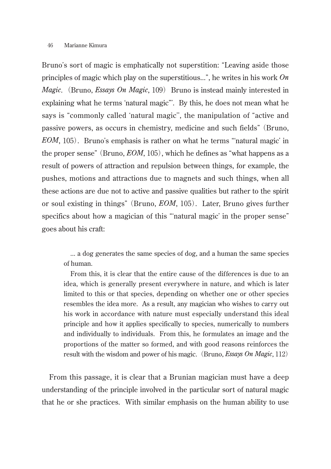Bruno's sort of magic is emphatically not superstition: "Leaving aside those principles of magic which play on the superstitious...", he writes in his work *On Magic*. (Bruno, *Essays On Magic*, 109) Bruno is instead mainly interested in explaining what he terms ʻnatural magic"'. By this, he does not mean what he says is "commonly called ʻnatural magic'', the manipulation of "active and passive powers, as occurs in chemistry, medicine and such fields"(Bruno, *EOM*, 105). Bruno's emphasis is rather on what he terms "ʻnatural magic' in the proper sense"(Bruno, *EOM*, 105), which he defines as "what happens as a result of powers of attraction and repulsion between things, for example, the pushes, motions and attractions due to magnets and such things, when all these actions are due not to active and passive qualities but rather to the spirit or soul existing in things"(Bruno, *EOM*, 105). Later, Bruno gives further specifics about how a magician of this "ʻnatural magic' in the proper sense" goes about his craft:

... a dog generates the same species of dog, and a human the same species of human.

From this, it is clear that the entire cause of the differences is due to an idea, which is generally present everywhere in nature, and which is later limited to this or that species, depending on whether one or other species resembles the idea more. As a result, any magician who wishes to carry out his work in accordance with nature must especially understand this ideal principle and how it applies specifically to species, numerically to numbers and individually to individuals. From this, he formulates an image and the proportions of the matter so formed, and with good reasons reinforces the result with the wisdom and power of his magic. (Bruno, *Essays On Magic*, 112)

From this passage, it is clear that a Brunian magician must have a deep understanding of the principle involved in the particular sort of natural magic that he or she practices. With similar emphasis on the human ability to use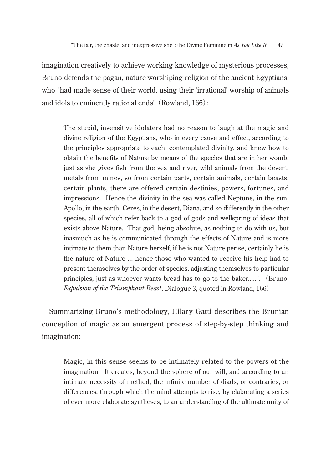imagination creatively to achieve working knowledge of mysterious processes, Bruno defends the pagan, nature-worshiping religion of the ancient Egyptians, who "had made sense of their world, using their ʻirrational' worship of animals and idols to eminently rational ends"(Rowland, 166):

The stupid, insensitive idolaters had no reason to laugh at the magic and divine religion of the Egyptians, who in every cause and effect, according to the principles appropriate to each, contemplated divinity, and knew how to obtain the benefits of Nature by means of the species that are in her womb: just as she gives fish from the sea and river, wild animals from the desert, metals from mines, so from certain parts, certain animals, certain beasts, certain plants, there are offered certain destinies, powers, fortunes, and impressions. Hence the divinity in the sea was called Neptune, in the sun, Apollo, in the earth, Ceres, in the desert, Diana, and so differently in the other species, all of which refer back to a god of gods and wellspring of ideas that exists above Nature. That god, being absolute, as nothing to do with us, but inasmuch as he is communicated through the effects of Nature and is more intimate to them than Nature herself, if he is not Nature per se, certainly he is the nature of Nature ... hence those who wanted to receive his help had to present themselves by the order of species, adjusting themselves to particular principles, just as whoever wants bread has to go to the baker.....". (Bruno, *Expulsion of the Triumphant Beast*, Dialogue 3, quoted in Rowland, 166)

Summarizing Bruno's methodology, Hilary Gatti describes the Brunian conception of magic as an emergent process of step-by-step thinking and imagination:

Magic, in this sense seems to be intimately related to the powers of the imagination. It creates, beyond the sphere of our will, and according to an intimate necessity of method, the infinite number of diads, or contraries, or differences, through which the mind attempts to rise, by elaborating a series of ever more elaborate syntheses, to an understanding of the ultimate unity of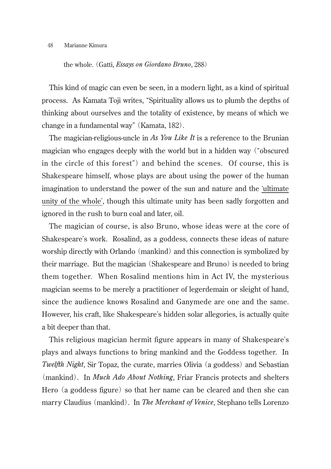the whole. (Gatti, *Essays on Giordano Bruno*, 288)

This kind of magic can even be seen, in a modern light, as a kind of spiritual process. As Kamata Toji writes, "Spirituality allows us to plumb the depths of thinking about ourselves and the totality of existence, by means of which we change in a fundamental way"(Kamata, 182).

The magician-religious-uncle in *As You Like It* is a reference to the Brunian magician who engages deeply with the world but in a hidden way ("obscured in the circle of this forest") and behind the scenes. Of course, this is Shakespeare himself, whose plays are about using the power of the human imagination to understand the power of the sun and nature and the ʻultimate unity of the whole', though this ultimate unity has been sadly forgotten and ignored in the rush to burn coal and later, oil.

The magician of course, is also Bruno, whose ideas were at the core of Shakespeare's work. Rosalind, as a goddess, connects these ideas of nature worship directly with Orlando (mankind) and this connection is symbolized by their marriage. But the magician (Shakespeare and Bruno) is needed to bring them together. When Rosalind mentions him in Act IV, the mysterious magician seems to be merely a practitioner of legerdemain or sleight of hand, since the audience knows Rosalind and Ganymede are one and the same. However, his craft, like Shakespeare's hidden solar allegories, is actually quite a bit deeper than that.

This religious magician hermit figure appears in many of Shakespeare's plays and always functions to bring mankind and the Goddess together. In *Twelfth Night*, Sir Topaz, the curate, marries Olivia (a goddess) and Sebastian (mankind). In *Much Ado About Nothing*, Friar Francis protects and shelters Hero (a goddess figure) so that her name can be cleared and then she can marry Claudius (mankind). In *The Merchant of Venice*, Stephano tells Lorenzo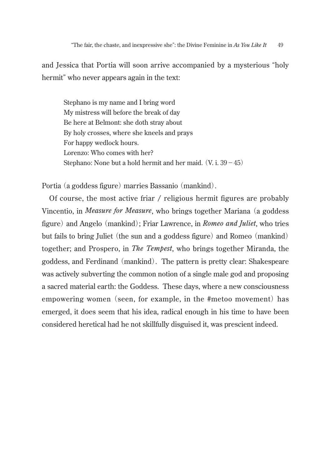and Jessica that Portia will soon arrive accompanied by a mysterious "holy hermit" who never appears again in the text:

Stephano is my name and I bring word My mistress will before the break of day Be here at Belmont: she doth stray about By holy crosses, where she kneels and prays For happy wedlock hours. Lorenzo: Who comes with her? Stephano: None but a hold hermit and her maid.  $(V, i. 39 - 45)$ 

Portia (a goddess figure) marries Bassanio (mankind).

Of course, the most active friar / religious hermit figures are probably Vincentio, in *Measure for Measure*, who brings together Mariana (a goddess figure) and Angelo (mankind); Friar Lawrence, in *Romeo and Juliet*, who tries but fails to bring Juliet (the sun and a goddess figure) and Romeo (mankind) together; and Prospero, in *The Tempest*, who brings together Miranda, the goddess, and Ferdinand (mankind). The pattern is pretty clear: Shakespeare was actively subverting the common notion of a single male god and proposing a sacred material earth: the Goddess. These days, where a new consciousness empowering women (seen, for example, in the #metoo movement) has emerged, it does seem that his idea, radical enough in his time to have been considered heretical had he not skillfully disguised it, was prescient indeed.